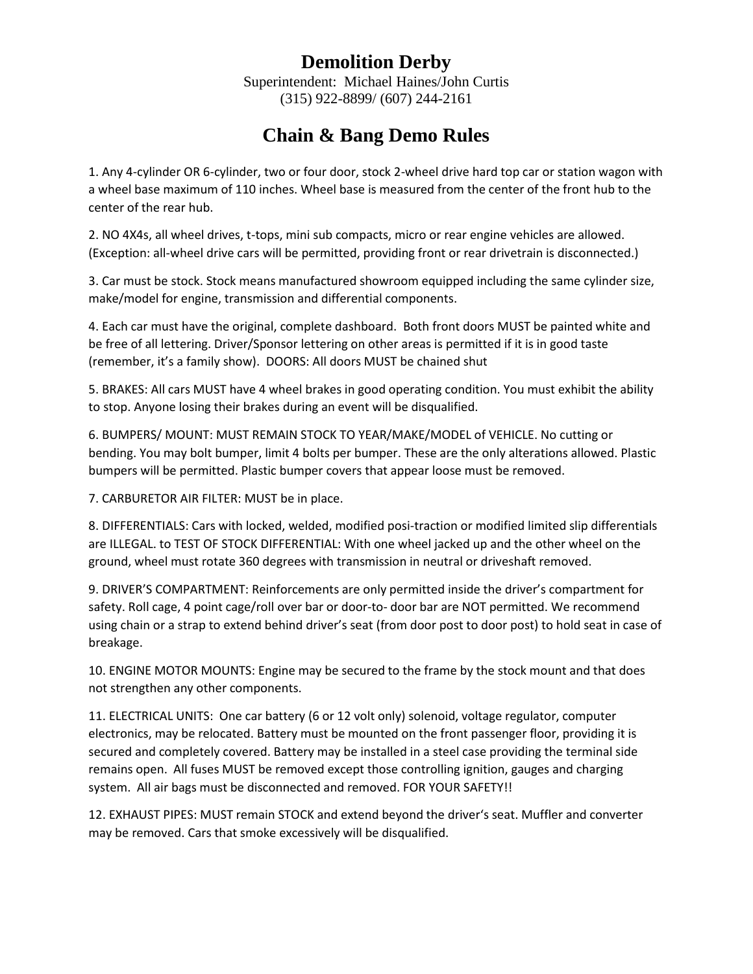## **Demolition Derby**

Superintendent: Michael Haines/John Curtis (315) 922-8899/ (607) 244-2161

## **Chain & Bang Demo Rules**

1. Any 4-cylinder OR 6-cylinder, two or four door, stock 2-wheel drive hard top car or station wagon with a wheel base maximum of 110 inches. Wheel base is measured from the center of the front hub to the center of the rear hub.

2. NO 4X4s, all wheel drives, t-tops, mini sub compacts, micro or rear engine vehicles are allowed. (Exception: all-wheel drive cars will be permitted, providing front or rear drivetrain is disconnected.)

3. Car must be stock. Stock means manufactured showroom equipped including the same cylinder size, make/model for engine, transmission and differential components.

4. Each car must have the original, complete dashboard. Both front doors MUST be painted white and be free of all lettering. Driver/Sponsor lettering on other areas is permitted if it is in good taste (remember, it's a family show). DOORS: All doors MUST be chained shut

5. BRAKES: All cars MUST have 4 wheel brakes in good operating condition. You must exhibit the ability to stop. Anyone losing their brakes during an event will be disqualified.

6. BUMPERS/ MOUNT: MUST REMAIN STOCK TO YEAR/MAKE/MODEL of VEHICLE. No cutting or bending. You may bolt bumper, limit 4 bolts per bumper. These are the only alterations allowed. Plastic bumpers will be permitted. Plastic bumper covers that appear loose must be removed.

7. CARBURETOR AIR FILTER: MUST be in place.

8. DIFFERENTIALS: Cars with locked, welded, modified posi-traction or modified limited slip differentials are ILLEGAL. to TEST OF STOCK DIFFERENTIAL: With one wheel jacked up and the other wheel on the ground, wheel must rotate 360 degrees with transmission in neutral or driveshaft removed.

9. DRIVER'S COMPARTMENT: Reinforcements are only permitted inside the driver's compartment for safety. Roll cage, 4 point cage/roll over bar or door-to- door bar are NOT permitted. We recommend using chain or a strap to extend behind driver's seat (from door post to door post) to hold seat in case of breakage.

10. ENGINE MOTOR MOUNTS: Engine may be secured to the frame by the stock mount and that does not strengthen any other components.

11. ELECTRICAL UNITS: One car battery (6 or 12 volt only) solenoid, voltage regulator, computer electronics, may be relocated. Battery must be mounted on the front passenger floor, providing it is secured and completely covered. Battery may be installed in a steel case providing the terminal side remains open. All fuses MUST be removed except those controlling ignition, gauges and charging system. All air bags must be disconnected and removed. FOR YOUR SAFETY!!

12. EXHAUST PIPES: MUST remain STOCK and extend beyond the driver's seat. Muffler and converter may be removed. Cars that smoke excessively will be disqualified.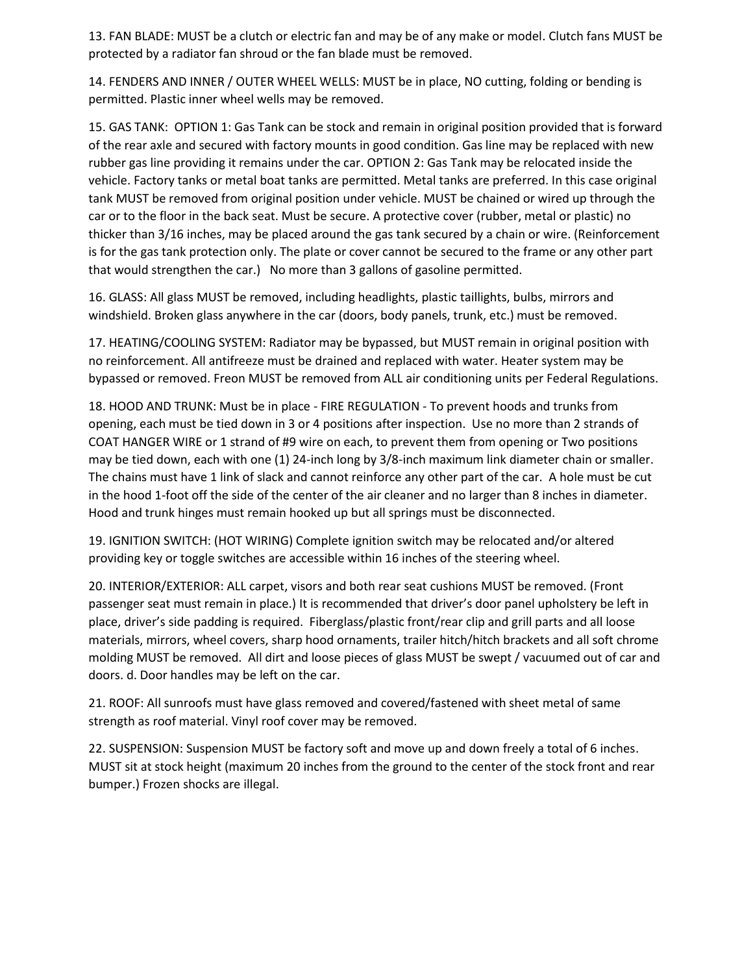13. FAN BLADE: MUST be a clutch or electric fan and may be of any make or model. Clutch fans MUST be protected by a radiator fan shroud or the fan blade must be removed.

14. FENDERS AND INNER / OUTER WHEEL WELLS: MUST be in place, NO cutting, folding or bending is permitted. Plastic inner wheel wells may be removed.

15. GAS TANK: OPTION 1: Gas Tank can be stock and remain in original position provided that is forward of the rear axle and secured with factory mounts in good condition. Gas line may be replaced with new rubber gas line providing it remains under the car. OPTION 2: Gas Tank may be relocated inside the vehicle. Factory tanks or metal boat tanks are permitted. Metal tanks are preferred. In this case original tank MUST be removed from original position under vehicle. MUST be chained or wired up through the car or to the floor in the back seat. Must be secure. A protective cover (rubber, metal or plastic) no thicker than 3/16 inches, may be placed around the gas tank secured by a chain or wire. (Reinforcement is for the gas tank protection only. The plate or cover cannot be secured to the frame or any other part that would strengthen the car.) No more than 3 gallons of gasoline permitted.

16. GLASS: All glass MUST be removed, including headlights, plastic taillights, bulbs, mirrors and windshield. Broken glass anywhere in the car (doors, body panels, trunk, etc.) must be removed.

17. HEATING/COOLING SYSTEM: Radiator may be bypassed, but MUST remain in original position with no reinforcement. All antifreeze must be drained and replaced with water. Heater system may be bypassed or removed. Freon MUST be removed from ALL air conditioning units per Federal Regulations.

18. HOOD AND TRUNK: Must be in place - FIRE REGULATION - To prevent hoods and trunks from opening, each must be tied down in 3 or 4 positions after inspection. Use no more than 2 strands of COAT HANGER WIRE or 1 strand of #9 wire on each, to prevent them from opening or Two positions may be tied down, each with one (1) 24-inch long by 3/8-inch maximum link diameter chain or smaller. The chains must have 1 link of slack and cannot reinforce any other part of the car. A hole must be cut in the hood 1-foot off the side of the center of the air cleaner and no larger than 8 inches in diameter. Hood and trunk hinges must remain hooked up but all springs must be disconnected.

19. IGNITION SWITCH: (HOT WIRING) Complete ignition switch may be relocated and/or altered providing key or toggle switches are accessible within 16 inches of the steering wheel.

20. INTERIOR/EXTERIOR: ALL carpet, visors and both rear seat cushions MUST be removed. (Front passenger seat must remain in place.) It is recommended that driver's door panel upholstery be left in place, driver's side padding is required. Fiberglass/plastic front/rear clip and grill parts and all loose materials, mirrors, wheel covers, sharp hood ornaments, trailer hitch/hitch brackets and all soft chrome molding MUST be removed. All dirt and loose pieces of glass MUST be swept / vacuumed out of car and doors. d. Door handles may be left on the car.

21. ROOF: All sunroofs must have glass removed and covered/fastened with sheet metal of same strength as roof material. Vinyl roof cover may be removed.

22. SUSPENSION: Suspension MUST be factory soft and move up and down freely a total of 6 inches. MUST sit at stock height (maximum 20 inches from the ground to the center of the stock front and rear bumper.) Frozen shocks are illegal.